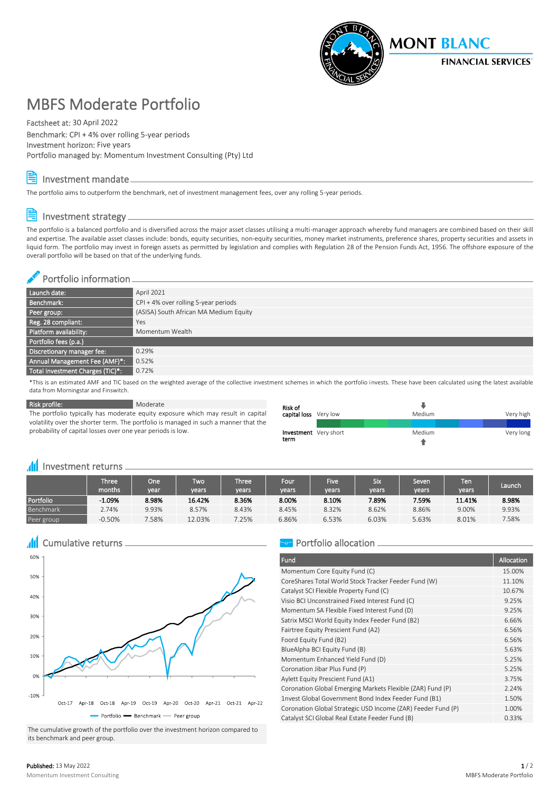

# MBFS Moderate Portfolio

Factsheet at: 30 April 2022

Benchmark: CPI + 4% over rolling 5-year periods Investment horizon: Five years Portfolio managed by: Momentum Investment Consulting (Pty) Ltd

## Investment mandate

The portfolio aims to outperform the benchmark, net of investment management fees, over any rolling 5-year periods.

## Investment strategy

The portfolio is a balanced portfolio and is diversified across the major asset classes utilising a multi-manager approach whereby fund managers are combined based on their skill and expertise. The available asset classes include: bonds, equity securities, non-equity securities, money market instruments, preference shares, property securities and assets in liquid form. The portfolio may invest in foreign assets as permitted by legislation and complies with Regulation 28 of the Pension Funds Act, 1956. The offshore exposure of the overall portfolio will be based on that of the underlying funds.

## Portfolio information\_\_\_\_\_\_\_\_\_\_\_

| Launch date:                     | April 2021                             |
|----------------------------------|----------------------------------------|
| Benchmark:                       | $CPI + 4%$ over rolling 5-year periods |
| Peer group:                      | (ASISA) South African MA Medium Equity |
| Reg. 28 compliant:               | Yes                                    |
| Platform availability:           | Momentum Wealth                        |
| Portfolio fees (p.a.)            |                                        |
| Discretionary manager fee:       | 0.29%                                  |
| Annual Management Fee (AMF)*:    | 0.52%                                  |
| Total Investment Charges (TIC)*: | 0.72%                                  |
|                                  |                                        |

\*This is an estimated AMF and TIC based on the weighted average of the collective investment schemes in which the portfolio invests. These have been calculated using the latest available data from Morningstar and Finswitch.

Risk profile: Moderate

The portfolio typically has moderate equity exposure which may result in capital volatility over the shorter term. The portfolio is managed in such a manner that the probability of capital losses over one year periods is low.

| Risk of<br>capital loss Very low     | Medium | Very high |  |  |
|--------------------------------------|--------|-----------|--|--|
| <b>Investment</b> Very short<br>term | Medium | Very long |  |  |

#### **III** Investment returns <sub>-</sub>

|            | Three' $\,$<br>months | <b>One</b><br>vear | ľwo<br>vears' | <b>Three</b><br>years | Four<br>years | <b>Five</b><br>vears | <b>Six</b><br>vears | Seven<br>years | Ten<br><b>vears</b> | Launch |
|------------|-----------------------|--------------------|---------------|-----------------------|---------------|----------------------|---------------------|----------------|---------------------|--------|
| Portfolio  | $-1.09%$              | 8.98%              | 16.42%        | 8.36%                 | 8.00%         | 8.10%                | 7.89%               | 7.59%          | 11.41%              | 8.98%  |
| Benchmark  | 2.74%                 | 9.93%              | 8.57%         | 8.43%                 | 8.45%         | 8.32%                | 8.62%               | 8.86%          | 9.00%               | 9.93%  |
| Peer group | $-0.50%$              | .58%               | 12.03%        | 7.25%                 | 6.86%         | 6.53%                | 6.03%               | 5.63%          | 8.01%               | 7.58%  |

# **All** Cumulative returns



The cumulative growth of the portfolio over the investment horizon compared to its benchmark and peer group.

## **Portfolio allocation**

| Fund                                                         | Allocation |
|--------------------------------------------------------------|------------|
| Momentum Core Equity Fund (C)                                | 15.00%     |
| CoreShares Total World Stock Tracker Feeder Fund (W)         | 11.10%     |
| Catalyst SCI Flexible Property Fund (C)                      | 10.67%     |
| Visio BCI Unconstrained Fixed Interest Fund (C)              | 9.25%      |
| Momentum SA Flexible Fixed Interest Fund (D)                 | 9.25%      |
| Satrix MSCI World Equity Index Feeder Fund (B2)              | 6.66%      |
| Fairtree Equity Prescient Fund (A2)                          | 6.56%      |
| Foord Equity Fund (B2)                                       | 6.56%      |
| BlueAlpha BCI Equity Fund (B)                                | 5.63%      |
| Momentum Enhanced Yield Fund (D)                             | 5.25%      |
| Coronation Jibar Plus Fund (P)                               | 5.25%      |
| Aylett Equity Prescient Fund (A1)                            | 3.75%      |
| Coronation Global Emerging Markets Flexible (ZAR) Fund (P)   | 2.24%      |
| 1nvest Global Government Bond Index Feeder Fund (B1)         | 1.50%      |
| Coronation Global Strategic USD Income (ZAR) Feeder Fund (P) | 1.00%      |
| Catalyst SCI Global Real Estate Feeder Fund (B)              | 0.33%      |